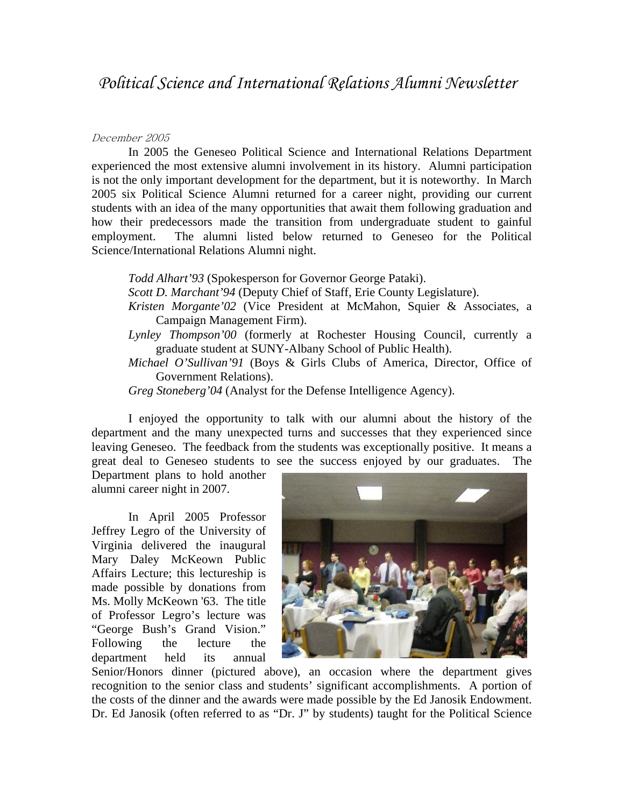## December 2005

In 2005 the Geneseo Political Science and International Relations Department experienced the most extensive alumni involvement in its history. Alumni participation is not the only important development for the department, but it is noteworthy. In March 2005 six Political Science Alumni returned for a career night, providing our current students with an idea of the many opportunities that await them following graduation and how their predecessors made the transition from undergraduate student to gainful employment. The alumni listed below returned to Geneseo for the Political Science/International Relations Alumni night.

*Todd Alhart'93* (Spokesperson for Governor George Pataki).

- *Scott D. Marchant'94* (Deputy Chief of Staff, Erie County Legislature).
- *Kristen Morgante'02* (Vice President at McMahon, Squier & Associates, a Campaign Management Firm).
- *Lynley Thompson'00* (formerly at Rochester Housing Council, currently a graduate student at SUNY-Albany School of Public Health).
- *Michael O'Sullivan'91* (Boys & Girls Clubs of America, Director, Office of Government Relations).
- *Greg Stoneberg'04* (Analyst for the Defense Intelligence Agency).

I enjoyed the opportunity to talk with our alumni about the history of the department and the many unexpected turns and successes that they experienced since leaving Geneseo. The feedback from the students was exceptionally positive. It means a great deal to Geneseo students to see the success enjoyed by our graduates. The

Department plans to hold another alumni career night in 2007.

 In April 2005 Professor Jeffrey Legro of the University of Virginia delivered the inaugural Mary Daley McKeown Public Affairs Lecture; this lectureship is made possible by donations from Ms. Molly McKeown '63. The title of Professor Legro's lecture was "George Bush's Grand Vision." Following the lecture the department held its annual



Senior/Honors dinner (pictured above), an occasion where the department gives recognition to the senior class and students' significant accomplishments. A portion of the costs of the dinner and the awards were made possible by the Ed Janosik Endowment. Dr. Ed Janosik (often referred to as "Dr. J" by students) taught for the Political Science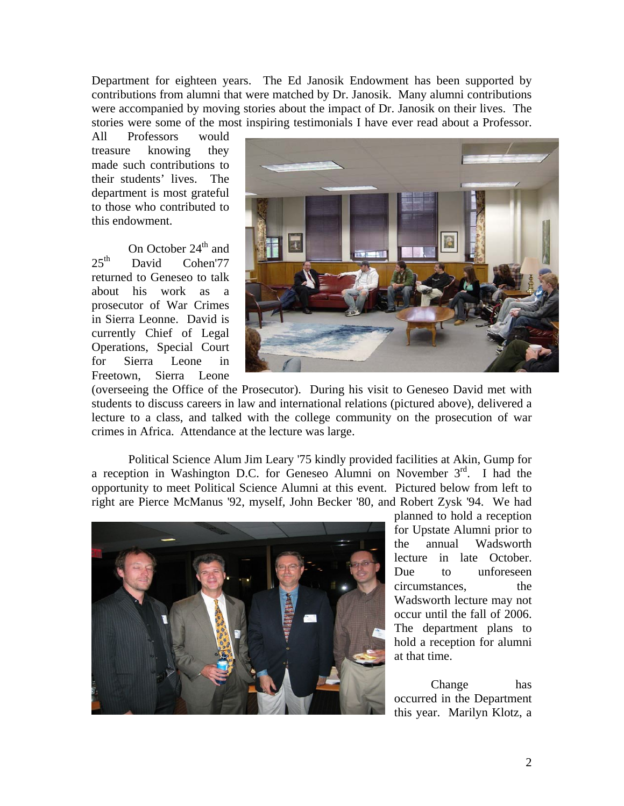Department for eighteen years. The Ed Janosik Endowment has been supported by contributions from alumni that were matched by Dr. Janosik. Many alumni contributions were accompanied by moving stories about the impact of Dr. Janosik on their lives. The stories were some of the most inspiring testimonials I have ever read about a Professor.

All Professors would treasure knowing they made such contributions to their students' lives. The department is most grateful to those who contributed to this endowment.

On October  $24<sup>th</sup>$  and  $25<sup>th</sup>$  David Cohen'77 returned to Geneseo to talk about his work as a prosecutor of War Crimes in Sierra Leonne. David is currently Chief of Legal Operations, Special Court for Sierra Leone in Freetown, Sierra Leone



(overseeing the Office of the Prosecutor). During his visit to Geneseo David met with students to discuss careers in law and international relations (pictured above), delivered a lecture to a class, and talked with the college community on the prosecution of war crimes in Africa. Attendance at the lecture was large.

Political Science Alum Jim Leary '75 kindly provided facilities at Akin, Gump for a reception in Washington D.C. for Geneseo Alumni on November 3rd. I had the opportunity to meet Political Science Alumni at this event. Pictured below from left to right are Pierce McManus '92, myself, John Becker '80, and Robert Zysk '94. We had



planned to hold a reception for Upstate Alumni prior to the annual Wadsworth lecture in late October. Due to unforeseen circumstances, the Wadsworth lecture may not occur until the fall of 2006. The department plans to hold a reception for alumni at that time.

 Change has occurred in the Department this year. Marilyn Klotz, a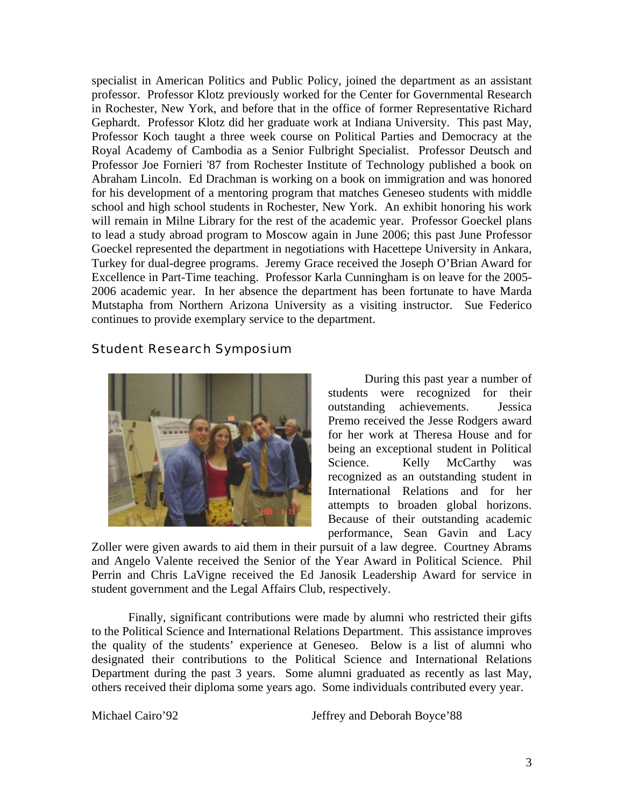specialist in American Politics and Public Policy, joined the department as an assistant professor. Professor Klotz previously worked for the Center for Governmental Research in Rochester, New York, and before that in the office of former Representative Richard Gephardt. Professor Klotz did her graduate work at Indiana University. This past May, Professor Koch taught a three week course on Political Parties and Democracy at the Royal Academy of Cambodia as a Senior Fulbright Specialist. Professor Deutsch and Professor Joe Fornieri '87 from Rochester Institute of Technology published a book on Abraham Lincoln. Ed Drachman is working on a book on immigration and was honored for his development of a mentoring program that matches Geneseo students with middle school and high school students in Rochester, New York. An exhibit honoring his work will remain in Milne Library for the rest of the academic year. Professor Goeckel plans to lead a study abroad program to Moscow again in June 2006; this past June Professor Goeckel represented the department in negotiations with Hacettepe University in Ankara, Turkey for dual-degree programs. Jeremy Grace received the Joseph O'Brian Award for Excellence in Part-Time teaching. Professor Karla Cunningham is on leave for the 2005- 2006 academic year. In her absence the department has been fortunate to have Marda Mutstapha from Northern Arizona University as a visiting instructor. Sue Federico continues to provide exemplary service to the department.

## Student Research Symposium



During this past year a number of students were recognized for their outstanding achievements. Jessica Premo received the Jesse Rodgers award for her work at Theresa House and for being an exceptional student in Political Science. Kelly McCarthy was recognized as an outstanding student in International Relations and for her attempts to broaden global horizons. Because of their outstanding academic performance, Sean Gavin and Lacy

Zoller were given awards to aid them in their pursuit of a law degree. Courtney Abrams and Angelo Valente received the Senior of the Year Award in Political Science. Phil Perrin and Chris LaVigne received the Ed Janosik Leadership Award for service in student government and the Legal Affairs Club, respectively.

 Finally, significant contributions were made by alumni who restricted their gifts to the Political Science and International Relations Department. This assistance improves the quality of the students' experience at Geneseo. Below is a list of alumni who designated their contributions to the Political Science and International Relations Department during the past 3 years. Some alumni graduated as recently as last May, others received their diploma some years ago. Some individuals contributed every year.

Michael Cairo'92 Jeffrey and Deborah Boyce'88